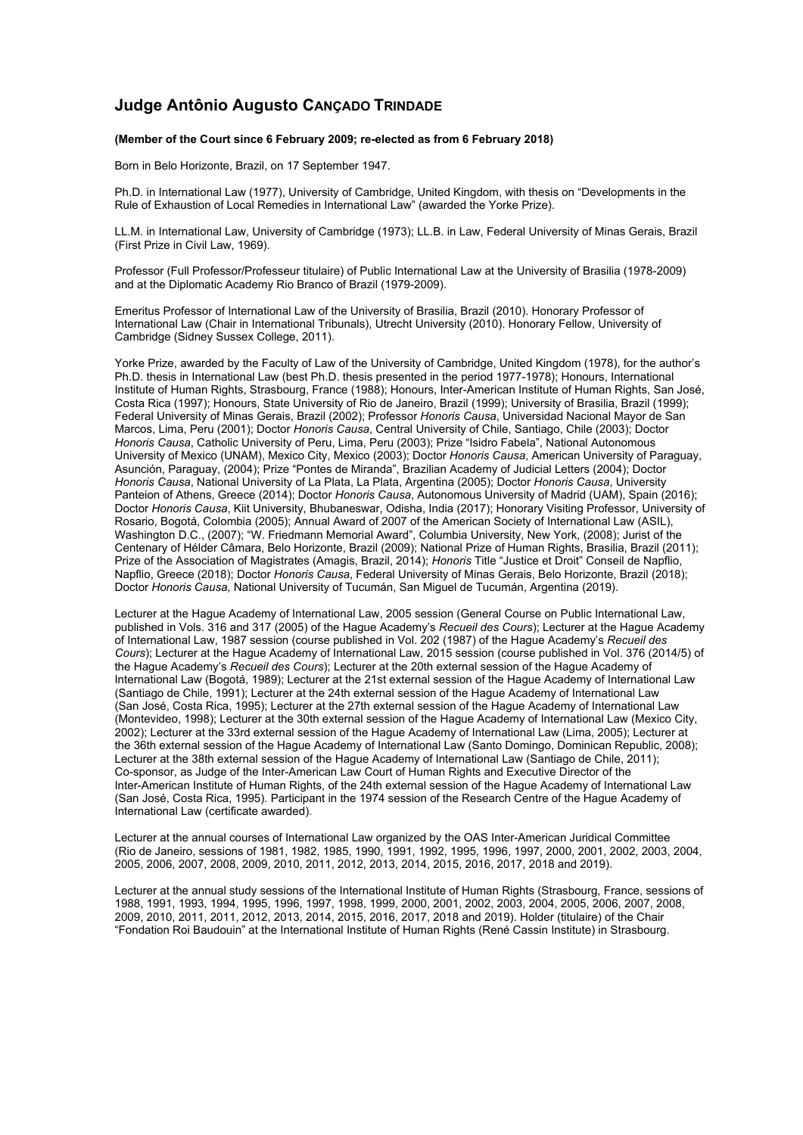## **Judge Antônio Augusto CANÇADO TRINDADE**

## **(Member of the Court since 6 February 2009; re-elected as from 6 February 2018)**

Born in Belo Horizonte, Brazil, on 17 September 1947.

Ph.D. in International Law (1977), University of Cambridge, United Kingdom, with thesis on "Developments in the Rule of Exhaustion of Local Remedies in International Law" (awarded the Yorke Prize).

LL.M. in International Law, University of Cambridge (1973); LL.B. in Law, Federal University of Minas Gerais, Brazil (First Prize in Civil Law, 1969).

Professor (Full Professor/Professeur titulaire) of Public International Law at the University of Brasilia (1978-2009) and at the Diplomatic Academy Rio Branco of Brazil (1979-2009).

Emeritus Professor of International Law of the University of Brasilia, Brazil (2010). Honorary Professor of International Law (Chair in International Tribunals), Utrecht University (2010). Honorary Fellow, University of Cambridge (Sidney Sussex College, 2011).

Yorke Prize, awarded by the Faculty of Law of the University of Cambridge, United Kingdom (1978), for the author's Ph.D. thesis in International Law (best Ph.D. thesis presented in the period 1977-1978); Honours, International Institute of Human Rights, Strasbourg, France (1988); Honours, Inter-American Institute of Human Rights, San José, Costa Rica (1997); Honours, State University of Rio de Janeiro, Brazil (1999); University of Brasilia, Brazil (1999); Federal University of Minas Gerais, Brazil (2002); Professor *Honoris Causa*, Universidad Nacional Mayor de San Marcos, Lima, Peru (2001); Doctor *Honoris Causa*, Central University of Chile, Santiago, Chile (2003); Doctor *Honoris Causa*, Catholic University of Peru, Lima, Peru (2003); Prize "Isidro Fabela", National Autonomous University of Mexico (UNAM), Mexico City, Mexico (2003); Doctor *Honoris Causa*, American University of Paraguay, Asunción, Paraguay, (2004); Prize "Pontes de Miranda", Brazilian Academy of Judicial Letters (2004); Doctor *Honoris Causa*, National University of La Plata, La Plata, Argentina (2005); Doctor *Honoris Causa*, University Panteion of Athens, Greece (2014); Doctor *Honoris Causa*, Autonomous University of Madrid (UAM), Spain (2016); Doctor *Honoris Causa*, Kiit University, Bhubaneswar, Odisha, India (2017); Honorary Visiting Professor, University of Rosario, Bogotá, Colombia (2005); Annual Award of 2007 of the American Society of International Law (ASIL), Washington D.C., (2007); "W. Friedmann Memorial Award", Columbia University, New York, (2008); Jurist of the Centenary of Hélder Câmara, Belo Horizonte, Brazil (2009); National Prize of Human Rights, Brasilia, Brazil (2011); Prize of the Association of Magistrates (Amagis, Brazil, 2014); *Honoris* Title "Justice et Droit" Conseil de Napflio, Napflio, Greece (2018); Doctor *Honoris Causa*, Federal University of Minas Gerais, Belo Horizonte, Brazil (2018); Doctor *Honoris Causa,* National University of Tucumán, San Miguel de Tucumán, Argentina (2019).

Lecturer at the Hague Academy of International Law, 2005 session (General Course on Public International Law, published in Vols. 316 and 317 (2005) of the Hague Academy's *Recueil des Cours*); Lecturer at the Hague Academy of International Law, 1987 session (course published in Vol. 202 (1987) of the Hague Academy's *Recueil des Cours*); Lecturer at the Hague Academy of International Law, 2015 session (course published in Vol. 376 (2014/5) of the Hague Academy's *Recueil des Cours*); Lecturer at the 20th external session of the Hague Academy of International Law (Bogotá, 1989); Lecturer at the 21st external session of the Hague Academy of International Law (Santiago de Chile, 1991); Lecturer at the 24th external session of the Hague Academy of International Law (San José, Costa Rica, 1995); Lecturer at the 27th external session of the Hague Academy of International Law (Montevideo, 1998); Lecturer at the 30th external session of the Hague Academy of International Law (Mexico City, 2002); Lecturer at the 33rd external session of the Hague Academy of International Law (Lima, 2005); Lecturer at the 36th external session of the Hague Academy of International Law (Santo Domingo, Dominican Republic, 2008); Lecturer at the 38th external session of the Hague Academy of International Law (Santiago de Chile, 2011); Co-sponsor, as Judge of the Inter-American Law Court of Human Rights and Executive Director of the Inter-American Institute of Human Rights, of the 24th external session of the Hague Academy of International Law (San José, Costa Rica, 1995). Participant in the 1974 session of the Research Centre of the Hague Academy of International Law (certificate awarded).

Lecturer at the annual courses of International Law organized by the OAS Inter-American Juridical Committee (Rio de Janeiro, sessions of 1981, 1982, 1985, 1990, 1991, 1992, 1995, 1996, 1997, 2000, 2001, 2002, 2003, 2004, 2005, 2006, 2007, 2008, 2009, 2010, 2011, 2012, 2013, 2014, 2015, 2016, 2017, 2018 and 2019).

Lecturer at the annual study sessions of the International Institute of Human Rights (Strasbourg, France, sessions of 1988, 1991, 1993, 1994, 1995, 1996, 1997, 1998, 1999, 2000, 2001, 2002, 2003, 2004, 2005, 2006, 2007, 2008, 2009, 2010, 2011, 2011, 2012, 2013, 2014, 2015, 2016, 2017, 2018 and 2019). Holder (titulaire) of the Chair "Fondation Roi Baudouin" at the International Institute of Human Rights (René Cassin Institute) in Strasbourg.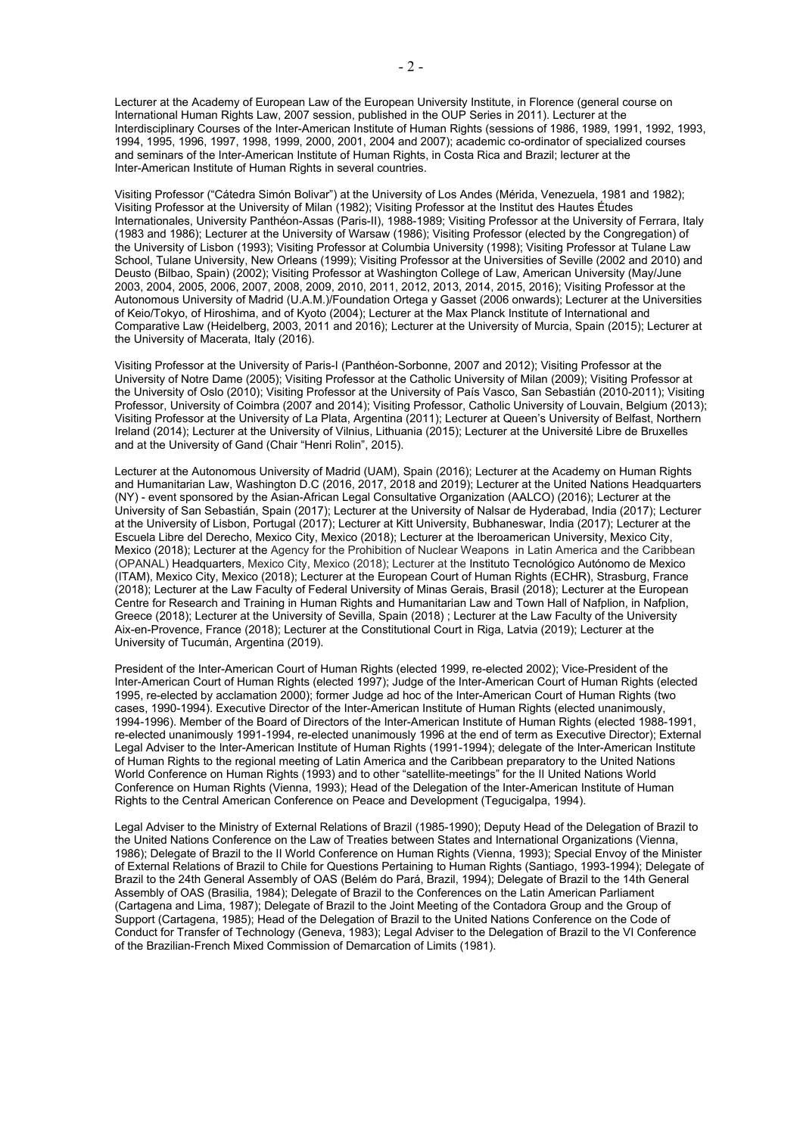Lecturer at the Academy of European Law of the European University Institute, in Florence (general course on International Human Rights Law, 2007 session, published in the OUP Series in 2011). Lecturer at the Interdisciplinary Courses of the Inter-American Institute of Human Rights (sessions of 1986, 1989, 1991, 1992, 1993, 1994, 1995, 1996, 1997, 1998, 1999, 2000, 2001, 2004 and 2007); academic co-ordinator of specialized courses and seminars of the Inter-American Institute of Human Rights, in Costa Rica and Brazil; lecturer at the Inter-American Institute of Human Rights in several countries.

Visiting Professor ("Cátedra Simón Bolivar") at the University of Los Andes (Mérida, Venezuela, 1981 and 1982); Visiting Professor at the University of Milan (1982); Visiting Professor at the Institut des Hautes Études Internationales, University Panthéon-Assas (Paris-II), 1988-1989; Visiting Professor at the University of Ferrara, Italy (1983 and 1986); Lecturer at the University of Warsaw (1986); Visiting Professor (elected by the Congregation) of the University of Lisbon (1993); Visiting Professor at Columbia University (1998); Visiting Professor at Tulane Law School, Tulane University, New Orleans (1999); Visiting Professor at the Universities of Seville (2002 and 2010) and Deusto (Bilbao, Spain) (2002); Visiting Professor at Washington College of Law, American University (May/June 2003, 2004, 2005, 2006, 2007, 2008, 2009, 2010, 2011, 2012, 2013, 2014, 2015, 2016); Visiting Professor at the Autonomous University of Madrid (U.A.M.)/Foundation Ortega y Gasset (2006 onwards); Lecturer at the Universities of Keio/Tokyo, of Hiroshima, and of Kyoto (2004); Lecturer at the Max Planck Institute of International and Comparative Law (Heidelberg, 2003, 2011 and 2016); Lecturer at the University of Murcia, Spain (2015); Lecturer at the University of Macerata, Italy (2016).

Visiting Professor at the University of Paris-I (Panthéon-Sorbonne, 2007 and 2012); Visiting Professor at the University of Notre Dame (2005); Visiting Professor at the Catholic University of Milan (2009); Visiting Professor at the University of Oslo (2010); Visiting Professor at the University of País Vasco, San Sebastián (2010-2011); Visiting Professor, University of Coimbra (2007 and 2014); Visiting Professor, Catholic University of Louvain, Belgium (2013); Visiting Professor at the University of La Plata, Argentina (2011); Lecturer at Queen's University of Belfast, Northern Ireland (2014); Lecturer at the University of Vilnius, Lithuania (2015); Lecturer at the Université Libre de Bruxelles and at the University of Gand (Chair "Henri Rolin", 2015).

Lecturer at the Autonomous University of Madrid (UAM), Spain (2016); Lecturer at the Academy on Human Rights and Humanitarian Law, Washington D.C (2016, 2017, 2018 and 2019); Lecturer at the United Nations Headquarters (NY) - event sponsored by the [Asian-African Legal Consultative Organization \(AALCO\) \(2016\); L](http://aalco.int/)ecturer at the University of San Sebastián, Spain (2017); Lecturer at the University of Nalsar de Hyderabad, India (2017); Lecturer at the University of Lisbon, Portugal (2017); Lecturer at Kitt University, Bubhaneswar, India (2017); Lecturer at the Escuela Libre del Derecho, Mexico City, Mexico (2018); Lecturer at the Iberoamerican University, Mexico City, Mexico (2018); Lecturer at the Agency for the Prohibition of Nuclear Weapons in Latin America and the Caribbean (OPANAL) Headquarters, Mexico City, Mexico (2018); Lecturer at the Instituto Tecnológico Autónomo de Mexico (ITAM), Mexico City, Mexico (2018); Lecturer at the European Court of Human Rights (ECHR), Strasburg, France (2018); Lecturer at the Law Faculty of Federal University of Minas Gerais, Brasil (2018); Lecturer at the European Centre for Research and Training in Human Rights and Humanitarian Law and Town Hall of Nafplion, in Nafplion, Greece (2018); Lecturer at the University of Sevilla, Spain (2018) ; Lecturer at the Law Faculty of the University Aix-en-Provence, France (2018); Lecturer at the Constitutional Court in Riga, Latvia (2019); Lecturer at the University of Tucumán, Argentina (2019).

President of the Inter-American Court of Human Rights (elected 1999, re-elected 2002); Vice-President of the Inter-American Court of Human Rights (elected 1997); Judge of the Inter-American Court of Human Rights (elected 1995, re-elected by acclamation 2000); former Judge ad hoc of the Inter-American Court of Human Rights (two cases, 1990-1994). Executive Director of the Inter-American Institute of Human Rights (elected unanimously, 1994-1996). Member of the Board of Directors of the Inter-American Institute of Human Rights (elected 1988-1991, re-elected unanimously 1991-1994, re-elected unanimously 1996 at the end of term as Executive Director); External Legal Adviser to the Inter-American Institute of Human Rights (1991-1994); delegate of the Inter-American Institute of Human Rights to the regional meeting of Latin America and the Caribbean preparatory to the United Nations World Conference on Human Rights (1993) and to other "satellite-meetings" for the II United Nations World Conference on Human Rights (Vienna, 1993); Head of the Delegation of the Inter-American Institute of Human Rights to the Central American Conference on Peace and Development (Tegucigalpa, 1994).

Legal Adviser to the Ministry of External Relations of Brazil (1985-1990); Deputy Head of the Delegation of Brazil to the United Nations Conference on the Law of Treaties between States and International Organizations (Vienna, 1986); Delegate of Brazil to the II World Conference on Human Rights (Vienna, 1993); Special Envoy of the Minister of External Relations of Brazil to Chile for Questions Pertaining to Human Rights (Santiago, 1993-1994); Delegate of Brazil to the 24th General Assembly of OAS (Belém do Pará, Brazil, 1994); Delegate of Brazil to the 14th General Assembly of OAS (Brasilia, 1984); Delegate of Brazil to the Conferences on the Latin American Parliament (Cartagena and Lima, 1987); Delegate of Brazil to the Joint Meeting of the Contadora Group and the Group of Support (Cartagena, 1985); Head of the Delegation of Brazil to the United Nations Conference on the Code of Conduct for Transfer of Technology (Geneva, 1983); Legal Adviser to the Delegation of Brazil to the VI Conference of the Brazilian-French Mixed Commission of Demarcation of Limits (1981).